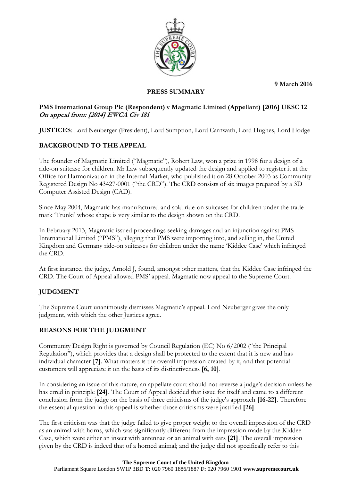**9 March 2016**



### **PRESS SUMMARY**

### **PMS International Group Plc (Respondent) v Magmatic Limited (Appellant) [2016] UKSC 12 On appeal from: [2014] EWCA Civ 181**

**JUSTICES**: Lord Neuberger (President), Lord Sumption, Lord Carnwath, Lord Hughes, Lord Hodge

# **BACKGROUND TO THE APPEAL**

The founder of Magmatic Limited ("Magmatic"), Robert Law, won a prize in 1998 for a design of a ride-on suitcase for children. Mr Law subsequently updated the design and applied to register it at the Office for Harmonization in the Internal Market, who published it on 28 October 2003 as Community Registered Design No 43427-0001 ("the CRD"). The CRD consists of six images prepared by a 3D Computer Assisted Design (CAD).

Since May 2004, Magmatic has manufactured and sold ride-on suitcases for children under the trade mark 'Trunki' whose shape is very similar to the design shown on the CRD.

In February 2013, Magmatic issued proceedings seeking damages and an injunction against PMS International Limited ("PMS"), alleging that PMS were importing into, and selling in, the United Kingdom and Germany ride-on suitcases for children under the name 'Kiddee Case' which infringed the CRD.

At first instance, the judge, Arnold J, found, amongst other matters, that the Kiddee Case infringed the CRD. The Court of Appeal allowed PMS' appeal. Magmatic now appeal to the Supreme Court.

# **JUDGMENT**

The Supreme Court unanimously dismisses Magmatic's appeal. Lord Neuberger gives the only judgment, with which the other Justices agree.

# **REASONS FOR THE JUDGMENT**

Community Design Right is governed by Council Regulation (EC) No 6/2002 ("the Principal Regulation"), which provides that a design shall be protected to the extent that it is new and has individual character **[7]**. What matters is the overall impression created by it, and that potential customers will appreciate it on the basis of its distinctiveness **[6, 10]**.

In considering an issue of this nature, an appellate court should not reverse a judge's decision unless he has erred in principle **[24]**. The Court of Appeal decided that issue for itself and came to a different conclusion from the judge on the basis of three criticisms of the judge's approach **[16-22]**. Therefore the essential question in this appeal is whether those criticisms were justified **[26]**.

The first criticism was that the judge failed to give proper weight to the overall impression of the CRD as an animal with horns, which was significantly different from the impression made by the Kiddee Case, which were either an insect with antennae or an animal with ears **[21]**. The overall impression given by the CRD is indeed that of a horned animal; and the judge did not specifically refer to this

#### **The Supreme Court of the United Kingdom**

Parliament Square London SW1P 3BD **T:** 020 7960 1886/1887 **F:** 020 7960 1901 **www.supremecourt.uk**